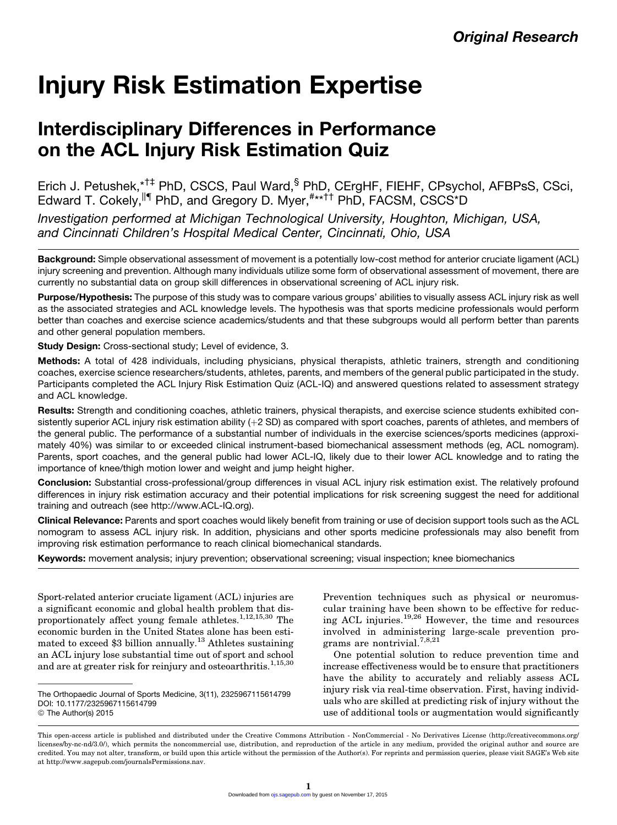# Injury Risk Estimation Expertise

# Interdisciplinary Differences in Performance on the ACL Injury Risk Estimation Quiz

Erich J. Petushek, \*<sup>†‡</sup> PhD, CSCS, Paul Ward, <sup>§</sup> PhD, CErgHF, FIEHF, CPsychol, AFBPsS, CSci, Edward T. Cokely, <sup>||¶</sup> PhD, and Gregory D. Myer, \*\*\*<sup>††</sup> PhD, FACSM, CSCS\*D

Investigation performed at Michigan Technological University, Houghton, Michigan, USA, and Cincinnati Children's Hospital Medical Center, Cincinnati, Ohio, USA

Background: Simple observational assessment of movement is a potentially low-cost method for anterior cruciate ligament (ACL) injury screening and prevention. Although many individuals utilize some form of observational assessment of movement, there are currently no substantial data on group skill differences in observational screening of ACL injury risk.

Purpose/Hypothesis: The purpose of this study was to compare various groups' abilities to visually assess ACL injury risk as well as the associated strategies and ACL knowledge levels. The hypothesis was that sports medicine professionals would perform better than coaches and exercise science academics/students and that these subgroups would all perform better than parents and other general population members.

Study Design: Cross-sectional study; Level of evidence, 3.

Methods: A total of 428 individuals, including physicians, physical therapists, athletic trainers, strength and conditioning coaches, exercise science researchers/students, athletes, parents, and members of the general public participated in the study. Participants completed the ACL Injury Risk Estimation Quiz (ACL-IQ) and answered questions related to assessment strategy and ACL knowledge.

Results: Strength and conditioning coaches, athletic trainers, physical therapists, and exercise science students exhibited consistently superior ACL injury risk estimation ability (+2 SD) as compared with sport coaches, parents of athletes, and members of the general public. The performance of a substantial number of individuals in the exercise sciences/sports medicines (approximately 40%) was similar to or exceeded clinical instrument-based biomechanical assessment methods (eg, ACL nomogram). Parents, sport coaches, and the general public had lower ACL-IQ, likely due to their lower ACL knowledge and to rating the importance of knee/thigh motion lower and weight and jump height higher.

Conclusion: Substantial cross-professional/group differences in visual ACL injury risk estimation exist. The relatively profound differences in injury risk estimation accuracy and their potential implications for risk screening suggest the need for additional training and outreach (see<http://www.ACL-IQ.org>).

Clinical Relevance: Parents and sport coaches would likely benefit from training or use of decision support tools such as the ACL nomogram to assess ACL injury risk. In addition, physicians and other sports medicine professionals may also benefit from improving risk estimation performance to reach clinical biomechanical standards.

Keywords: movement analysis; injury prevention; observational screening; visual inspection; knee biomechanics

Sport-related anterior cruciate ligament (ACL) injuries are a significant economic and global health problem that disproportionately affect young female athletes.<sup>1,12,15,30</sup> The economic burden in the United States alone has been estimated to exceed \$3 billion annually.<sup>13</sup> Athletes sustaining an ACL injury lose substantial time out of sport and school and are at greater risk for reinjury and osteoarthritis.<sup>1,15,30</sup>

Prevention techniques such as physical or neuromuscular training have been shown to be effective for reducing ACL injuries.19,26 However, the time and resources involved in administering large-scale prevention programs are nontrivial.<sup>7,8,21</sup>

One potential solution to reduce prevention time and increase effectiveness would be to ensure that practitioners have the ability to accurately and reliably assess ACL injury risk via real-time observation. First, having individuals who are skilled at predicting risk of injury without the use of additional tools or augmentation would significantly

The Orthopaedic Journal of Sports Medicine, 3(11), 2325967115614799 DOI: 10.1177/2325967115614799 © The Author(s) 2015

This open-access article is published and distributed under the Creative Commons Attribution - NonCommercial - No Derivatives License (http://creativecommons.org/ licenses/by-nc-nd/3.0/), which permits the noncommercial use, distribution, and reproduction of the article in any medium, provided the original author and source are credited. You may not alter, transform, or build upon this article without the permission of the Author(s). For reprints and permission queries, please visit SAGE's Web site at http://www.sagepub.com/journalsPermissions.nav.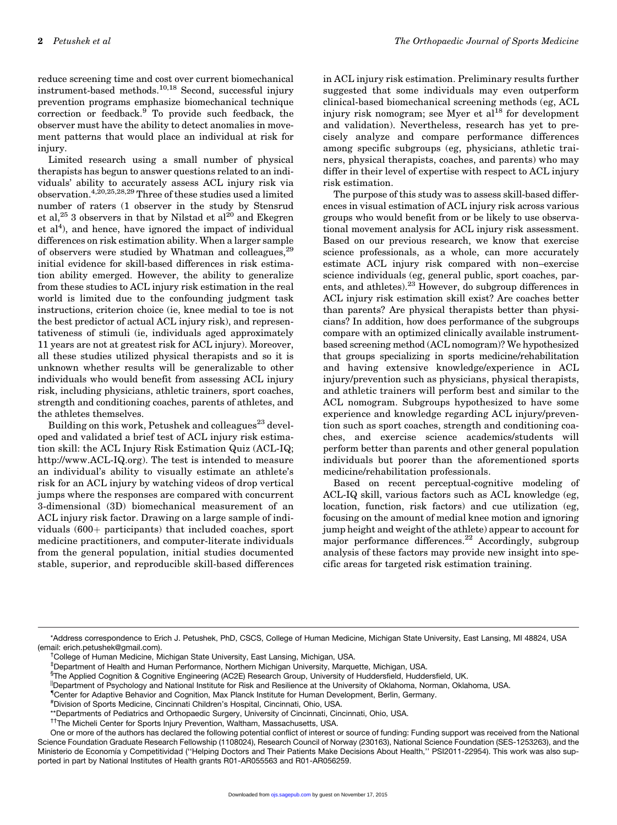reduce screening time and cost over current biomechanical instrument-based methods.10,18 Second, successful injury prevention programs emphasize biomechanical technique correction or feedback.<sup>9</sup> To provide such feedback, the observer must have the ability to detect anomalies in movement patterns that would place an individual at risk for injury.

Limited research using a small number of physical therapists has begun to answer questions related to an individuals' ability to accurately assess ACL injury risk via observation.4,20,25,28,29 Three of these studies used a limited number of raters (1 observer in the study by Stensrud et al,<sup>25</sup> 3 observers in that by Nilstad et al<sup>20</sup> and Ekegren et  $al<sup>4</sup>$ ), and hence, have ignored the impact of individual differences on risk estimation ability. When a larger sample of observers were studied by Whatman and colleagues,<sup>29</sup> initial evidence for skill-based differences in risk estimation ability emerged. However, the ability to generalize from these studies to ACL injury risk estimation in the real world is limited due to the confounding judgment task instructions, criterion choice (ie, knee medial to toe is not the best predictor of actual ACL injury risk), and representativeness of stimuli (ie, individuals aged approximately 11 years are not at greatest risk for ACL injury). Moreover, all these studies utilized physical therapists and so it is unknown whether results will be generalizable to other individuals who would benefit from assessing ACL injury risk, including physicians, athletic trainers, sport coaches, strength and conditioning coaches, parents of athletes, and the athletes themselves.

Building on this work, Petushek and colleagues $^{23}$  developed and validated a brief test of ACL injury risk estimation skill: the ACL Injury Risk Estimation Quiz (ACL-IQ; http://www.ACL-IQ.org). The test is intended to measure an individual's ability to visually estimate an athlete's risk for an ACL injury by watching videos of drop vertical jumps where the responses are compared with concurrent 3-dimensional (3D) biomechanical measurement of an ACL injury risk factor. Drawing on a large sample of individuals  $(600+$  participants) that included coaches, sport medicine practitioners, and computer-literate individuals from the general population, initial studies documented stable, superior, and reproducible skill-based differences

in ACL injury risk estimation. Preliminary results further suggested that some individuals may even outperform clinical-based biomechanical screening methods (eg, ACL injury risk nomogram; see Myer et al $^{18}$  for development and validation). Nevertheless, research has yet to precisely analyze and compare performance differences among specific subgroups (eg, physicians, athletic trainers, physical therapists, coaches, and parents) who may differ in their level of expertise with respect to ACL injury risk estimation.

The purpose of this study was to assess skill-based differences in visual estimation of ACL injury risk across various groups who would benefit from or be likely to use observational movement analysis for ACL injury risk assessment. Based on our previous research, we know that exercise science professionals, as a whole, can more accurately estimate ACL injury risk compared with non–exercise science individuals (eg, general public, sport coaches, parents, and athletes).<sup>23</sup> However, do subgroup differences in ACL injury risk estimation skill exist? Are coaches better than parents? Are physical therapists better than physicians? In addition, how does performance of the subgroups compare with an optimized clinically available instrumentbased screening method (ACL nomogram)? We hypothesized that groups specializing in sports medicine/rehabilitation and having extensive knowledge/experience in ACL injury/prevention such as physicians, physical therapists, and athletic trainers will perform best and similar to the ACL nomogram. Subgroups hypothesized to have some experience and knowledge regarding ACL injury/prevention such as sport coaches, strength and conditioning coaches, and exercise science academics/students will perform better than parents and other general population individuals but poorer than the aforementioned sports medicine/rehabilitation professionals.

Based on recent perceptual-cognitive modeling of ACL-IQ skill, various factors such as ACL knowledge (eg, location, function, risk factors) and cue utilization (eg, focusing on the amount of medial knee motion and ignoring jump height and weight of the athlete) appear to account for major performance differences.<sup>22</sup> Accordingly, subgroup analysis of these factors may provide new insight into specific areas for targeted risk estimation training.

<sup>\*</sup>Address correspondence to Erich J. Petushek, PhD, CSCS, College of Human Medicine, Michigan State University, East Lansing, MI 48824, USA (email: [erich.petushek@gmail.com\)](mailto:erich.petushek@gmail.com). †

<sup>&</sup>lt;sup>†</sup>College of Human Medicine, Michigan State University, East Lansing, Michigan, USA.

<sup>‡</sup> Department of Health and Human Performance, Northern Michigan University, Marquette, Michigan, USA.

<sup>§</sup> The Applied Cognition & Cognitive Engineering (AC2E) Research Group, University of Huddersfield, Huddersfield, UK.

<sup>||</sup>Department of Psychology and National Institute for Risk and Resilience at the University of Oklahoma, Norman, Oklahoma, USA.

<sup>{</sup> Center for Adaptive Behavior and Cognition, Max Planck Institute for Human Development, Berlin, Germany.

<sup>#</sup> Division of Sports Medicine, Cincinnati Children's Hospital, Cincinnati, Ohio, USA.

<sup>\*\*</sup>Departments of Pediatrics and Orthopaedic Surgery, University of Cincinnati, Cincinnati, Ohio, USA.

<sup>††</sup>The Micheli Center for Sports Injury Prevention, Waltham, Massachusetts, USA.

One or more of the authors has declared the following potential conflict of interest or source of funding: Funding support was received from the National Science Foundation Graduate Research Fellowship (1108024), Research Council of Norway (230163), National Science Foundation (SES-1253263), and the Ministerio de Economía y Competitividad ("Helping Doctors and Their Patients Make Decisions About Health," PSI2011-22954). This work was also supported in part by National Institutes of Health grants R01-AR055563 and R01-AR056259.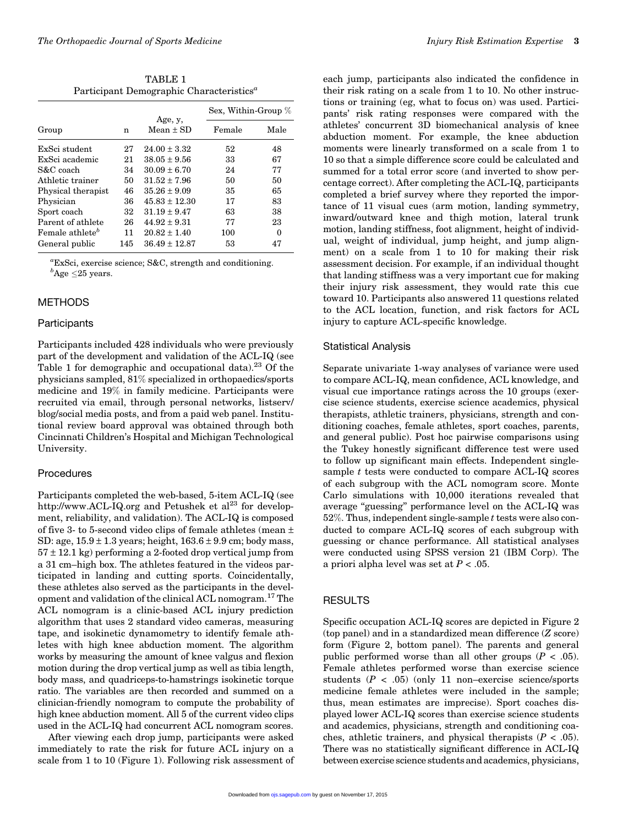TABLE 1 Participant Demographic Characteristics<sup> $a$ </sup>

|                             |     |                          | Sex, Within-Group $\%$ |      |  |  |
|-----------------------------|-----|--------------------------|------------------------|------|--|--|
| Group                       | n   | Age, y,<br>$Mean \pm SD$ | Female                 | Male |  |  |
| ExSci student               | 27  | $24.00 \pm 3.32$         | 52                     | 48   |  |  |
| ExSci academic              | 21  | $38.05 \pm 9.56$         | 33                     | 67   |  |  |
| S&C coach                   | 34  | $30.09 \pm 6.70$         | 24                     | 77   |  |  |
| Athletic trainer            | 50  | $31.52 \pm 7.96$         | 50                     | 50   |  |  |
| Physical therapist          | 46  | $35.26 \pm 9.09$         | 35                     | 65   |  |  |
| Physician                   | 36  | $45.83 \pm 12.30$        | 17                     | 83   |  |  |
| Sport coach                 | 32  | $31.19 \pm 9.47$         | 63                     | 38   |  |  |
| Parent of athlete           | 26  | $44.92 \pm 9.31$         | 77                     | 23   |  |  |
| Female athlete <sup>b</sup> | 11  | $20.82 \pm 1.40$         | 100                    | 0    |  |  |
| General public              | 145 | $36.49 \pm 12.87$        | 53                     | 47   |  |  |

a ExSci, exercise science; S&C, strength and conditioning.  ${}^b{\rm Age} \leq$ 25 years.

## METHODS

#### **Participants**

Participants included 428 individuals who were previously part of the development and validation of the ACL-IQ (see Table 1 for demographic and occupational data).<sup>23</sup> Of the physicians sampled, 81% specialized in orthopaedics/sports medicine and 19% in family medicine. Participants were recruited via email, through personal networks, listserv/ blog/social media posts, and from a paid web panel. Institutional review board approval was obtained through both Cincinnati Children's Hospital and Michigan Technological University.

#### **Procedures**

Participants completed the web-based, 5-item ACL-IQ (see http://www.ACL-IQ.org and Petushek et  $al^{23}$  for development, reliability, and validation). The ACL-IQ is composed of five 3- to 5-second video clips of female athletes (mean ± SD: age,  $15.9 \pm 1.3$  years; height,  $163.6 \pm 9.9$  cm; body mass,  $57 \pm 12.1$  kg) performing a 2-footed drop vertical jump from a 31 cm–high box. The athletes featured in the videos participated in landing and cutting sports. Coincidentally, these athletes also served as the participants in the development and validation of the clinical ACL nomogram.<sup>17</sup> The ACL nomogram is a clinic-based ACL injury prediction algorithm that uses 2 standard video cameras, measuring tape, and isokinetic dynamometry to identify female athletes with high knee abduction moment. The algorithm works by measuring the amount of knee valgus and flexion motion during the drop vertical jump as well as tibia length, body mass, and quadriceps-to-hamstrings isokinetic torque ratio. The variables are then recorded and summed on a clinician-friendly nomogram to compute the probability of high knee abduction moment. All 5 of the current video clips used in the ACL-IQ had concurrent ACL nomogram scores.

After viewing each drop jump, participants were asked immediately to rate the risk for future ACL injury on a scale from 1 to 10 (Figure 1). Following risk assessment of each jump, participants also indicated the confidence in their risk rating on a scale from 1 to 10. No other instructions or training (eg, what to focus on) was used. Participants' risk rating responses were compared with the athletes' concurrent 3D biomechanical analysis of knee abduction moment. For example, the knee abduction moments were linearly transformed on a scale from 1 to 10 so that a simple difference score could be calculated and summed for a total error score (and inverted to show percentage correct). After completing the ACL-IQ, participants completed a brief survey where they reported the importance of 11 visual cues (arm motion, landing symmetry, inward/outward knee and thigh motion, lateral trunk motion, landing stiffness, foot alignment, height of individual, weight of individual, jump height, and jump alignment) on a scale from 1 to 10 for making their risk assessment decision. For example, if an individual thought that landing stiffness was a very important cue for making their injury risk assessment, they would rate this cue toward 10. Participants also answered 11 questions related to the ACL location, function, and risk factors for ACL injury to capture ACL-specific knowledge.

#### Statistical Analysis

Separate univariate 1-way analyses of variance were used to compare ACL-IQ, mean confidence, ACL knowledge, and visual cue importance ratings across the 10 groups (exercise science students, exercise science academics, physical therapists, athletic trainers, physicians, strength and conditioning coaches, female athletes, sport coaches, parents, and general public). Post hoc pairwise comparisons using the Tukey honestly significant difference test were used to follow up significant main effects. Independent singlesample  $t$  tests were conducted to compare ACL-IQ scores of each subgroup with the ACL nomogram score. Monte Carlo simulations with 10,000 iterations revealed that average "guessing" performance level on the ACL-IQ was  $52\%$ . Thus, independent single-sample t tests were also conducted to compare ACL-IQ scores of each subgroup with guessing or chance performance. All statistical analyses were conducted using SPSS version 21 (IBM Corp). The a priori alpha level was set at  $P < .05$ .

## **RESULTS**

Specific occupation ACL-IQ scores are depicted in Figure 2 (top panel) and in a standardized mean difference (Z score) form (Figure 2, bottom panel). The parents and general public performed worse than all other groups ( $P < .05$ ). Female athletes performed worse than exercise science students  $(P < .05)$  (only 11 non–exercise science/sports medicine female athletes were included in the sample; thus, mean estimates are imprecise). Sport coaches displayed lower ACL-IQ scores than exercise science students and academics, physicians, strength and conditioning coaches, athletic trainers, and physical therapists  $(P < .05)$ . There was no statistically significant difference in ACL-IQ between exercise science students and academics, physicians,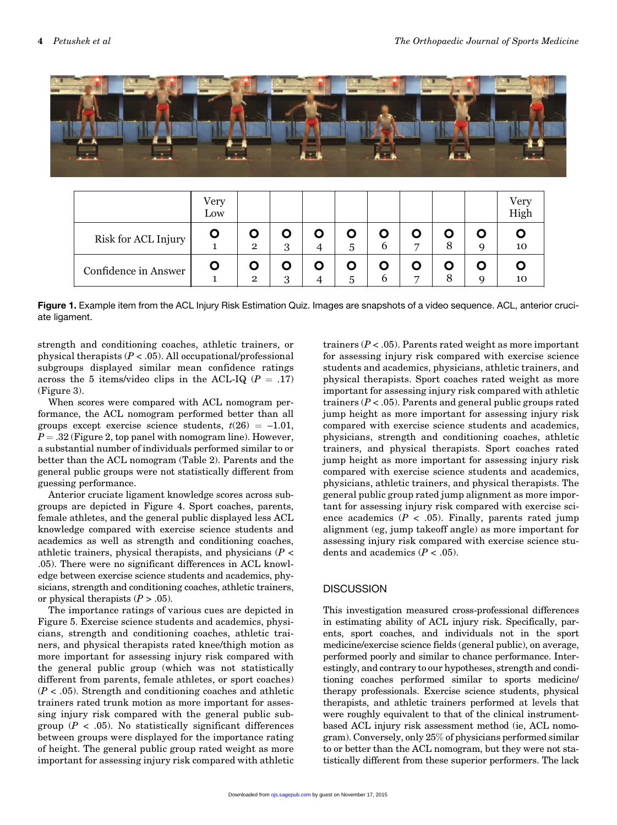

|                      | Very<br>Low |                     |        |        |        |   |                   |   |        | Very<br>High |
|----------------------|-------------|---------------------|--------|--------|--------|---|-------------------|---|--------|--------------|
| Risk for ACL Injury  | U           | Ő<br>$\overline{2}$ | O<br>3 | 4      | O<br>5 | b | O<br>7            | 8 | O<br>q | 10           |
| Confidence in Answer | Ő           | O<br>$\mathbf{2}$   | n<br>3 | O<br>4 | O<br>5 | 6 | O<br>$\mathbf{r}$ |   | O<br>Q | 10           |

Figure 1. Example item from the ACL Injury Risk Estimation Quiz. Images are snapshots of a video sequence. ACL, anterior cruciate ligament.

strength and conditioning coaches, athletic trainers, or physical therapists  $(P < .05)$ . All occupational/professional subgroups displayed similar mean confidence ratings across the 5 items/video clips in the ACL-IQ ( $P = .17$ ) (Figure 3).

When scores were compared with ACL nomogram performance, the ACL nomogram performed better than all groups except exercise science students,  $t(26) = -1.01$ ,  $P = .32$  (Figure 2, top panel with nomogram line). However, a substantial number of individuals performed similar to or better than the ACL nomogram (Table 2). Parents and the general public groups were not statistically different from guessing performance.

Anterior cruciate ligament knowledge scores across subgroups are depicted in Figure 4. Sport coaches, parents, female athletes, and the general public displayed less ACL knowledge compared with exercise science students and academics as well as strength and conditioning coaches, athletic trainers, physical therapists, and physicians  $(P <$ .05). There were no significant differences in ACL knowledge between exercise science students and academics, physicians, strength and conditioning coaches, athletic trainers, or physical therapists  $(P > .05)$ .

The importance ratings of various cues are depicted in Figure 5. Exercise science students and academics, physicians, strength and conditioning coaches, athletic trainers, and physical therapists rated knee/thigh motion as more important for assessing injury risk compared with the general public group (which was not statistically different from parents, female athletes, or sport coaches)  $(P < .05)$ . Strength and conditioning coaches and athletic trainers rated trunk motion as more important for assessing injury risk compared with the general public subgroup ( $P < .05$ ). No statistically significant differences between groups were displayed for the importance rating of height. The general public group rated weight as more important for assessing injury risk compared with athletic

trainers ( $P < .05$ ). Parents rated weight as more important for assessing injury risk compared with exercise science students and academics, physicians, athletic trainers, and physical therapists. Sport coaches rated weight as more important for assessing injury risk compared with athletic trainers  $(P < .05)$ . Parents and general public groups rated jump height as more important for assessing injury risk compared with exercise science students and academics, physicians, strength and conditioning coaches, athletic trainers, and physical therapists. Sport coaches rated jump height as more important for assessing injury risk compared with exercise science students and academics, physicians, athletic trainers, and physical therapists. The general public group rated jump alignment as more important for assessing injury risk compared with exercise science academics  $(P < .05)$ . Finally, parents rated jump alignment (eg, jump takeoff angle) as more important for assessing injury risk compared with exercise science students and academics ( $P < .05$ ).

# **DISCUSSION**

This investigation measured cross-professional differences in estimating ability of ACL injury risk. Specifically, parents, sport coaches, and individuals not in the sport medicine/exercise science fields (general public), on average, performed poorly and similar to chance performance. Interestingly, and contrary to our hypotheses, strength and conditioning coaches performed similar to sports medicine/ therapy professionals. Exercise science students, physical therapists, and athletic trainers performed at levels that were roughly equivalent to that of the clinical instrumentbased ACL injury risk assessment method (ie, ACL nomogram). Conversely, only 25% of physicians performed similar to or better than the ACL nomogram, but they were not statistically different from these superior performers. The lack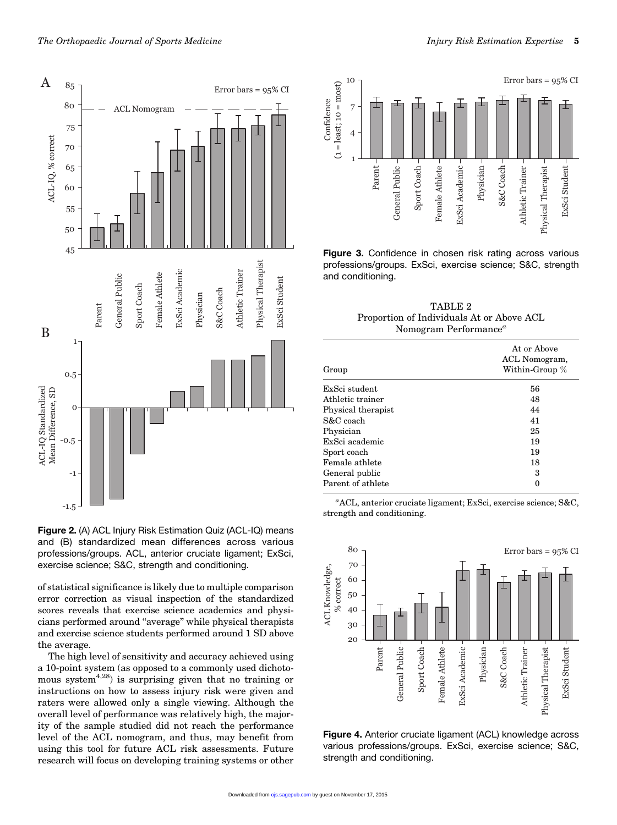

Figure 2. (A) ACL Injury Risk Estimation Quiz (ACL-IQ) means and (B) standardized mean differences across various professions/groups. ACL, anterior cruciate ligament; ExSci, exercise science; S&C, strength and conditioning.

of statistical significance is likely due to multiple comparison error correction as visual inspection of the standardized scores reveals that exercise science academics and physicians performed around ''average'' while physical therapists and exercise science students performed around 1 SD above the average.

The high level of sensitivity and accuracy achieved using a 10-point system (as opposed to a commonly used dichotomous system<sup>4,28</sup>) is surprising given that no training or instructions on how to assess injury risk were given and raters were allowed only a single viewing. Although the overall level of performance was relatively high, the majority of the sample studied did not reach the performance level of the ACL nomogram, and thus, may benefit from using this tool for future ACL risk assessments. Future research will focus on developing training systems or other



Figure 3. Confidence in chosen risk rating across various professions/groups. ExSci, exercise science; S&C, strength and conditioning.

TABLE 2 Proportion of Individuals At or Above ACL Nomogram Performance $^a$ 

|                    | At or Above<br>ACL Nomogram, |  |  |  |
|--------------------|------------------------------|--|--|--|
| Group              | Within-Group $\%$            |  |  |  |
| ExSci student      | 56                           |  |  |  |
| Athletic trainer   | 48                           |  |  |  |
| Physical therapist | 44                           |  |  |  |
| S&C coach          | 41                           |  |  |  |
| Physician          | 25                           |  |  |  |
| ExSci academic     | 19                           |  |  |  |
| Sport coach        | 19                           |  |  |  |
| Female athlete     | 18                           |  |  |  |
| General public     | 3                            |  |  |  |
| Parent of athlete  | 0                            |  |  |  |

a ACL, anterior cruciate ligament; ExSci, exercise science; S&C, strength and conditioning.



Figure 4. Anterior cruciate ligament (ACL) knowledge across various professions/groups. ExSci, exercise science; S&C, strength and conditioning.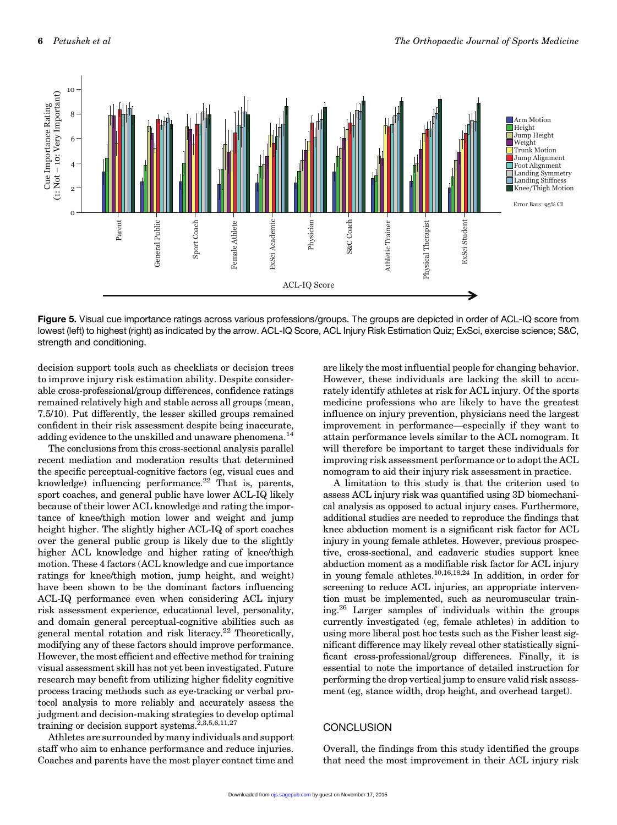

Figure 5. Visual cue importance ratings across various professions/groups. The groups are depicted in order of ACL-IQ score from lowest (left) to highest (right) as indicated by the arrow. ACL-IQ Score, ACL Injury Risk Estimation Quiz; ExSci, exercise science; S&C, strength and conditioning.

decision support tools such as checklists or decision trees to improve injury risk estimation ability. Despite considerable cross-professional/group differences, confidence ratings remained relatively high and stable across all groups (mean, 7.5/10). Put differently, the lesser skilled groups remained confident in their risk assessment despite being inaccurate, adding evidence to the unskilled and unaware phenomena.<sup>14</sup>

The conclusions from this cross-sectional analysis parallel recent mediation and moderation results that determined the specific perceptual-cognitive factors (eg, visual cues and knowledge) influencing performance.<sup>22</sup> That is, parents, sport coaches, and general public have lower ACL-IQ likely because of their lower ACL knowledge and rating the importance of knee/thigh motion lower and weight and jump height higher. The slightly higher ACL-IQ of sport coaches over the general public group is likely due to the slightly higher ACL knowledge and higher rating of knee/thigh motion. These 4 factors (ACL knowledge and cue importance ratings for knee/thigh motion, jump height, and weight) have been shown to be the dominant factors influencing ACL-IQ performance even when considering ACL injury risk assessment experience, educational level, personality, and domain general perceptual-cognitive abilities such as general mental rotation and risk literacy. $22$  Theoretically, modifying any of these factors should improve performance. However, the most efficient and effective method for training visual assessment skill has not yet been investigated. Future research may benefit from utilizing higher fidelity cognitive process tracing methods such as eye-tracking or verbal protocol analysis to more reliably and accurately assess the judgment and decision-making strategies to develop optimal training or decision support systems.<sup>2,3,5,6,11,27</sup>

Athletes are surrounded by many individuals and support staff who aim to enhance performance and reduce injuries. Coaches and parents have the most player contact time and are likely the most influential people for changing behavior. However, these individuals are lacking the skill to accurately identify athletes at risk for ACL injury. Of the sports medicine professions who are likely to have the greatest influence on injury prevention, physicians need the largest improvement in performance—especially if they want to attain performance levels similar to the ACL nomogram. It will therefore be important to target these individuals for improving risk assessment performance or to adopt the ACL nomogram to aid their injury risk assessment in practice.

A limitation to this study is that the criterion used to assess ACL injury risk was quantified using 3D biomechanical analysis as opposed to actual injury cases. Furthermore, additional studies are needed to reproduce the findings that knee abduction moment is a significant risk factor for ACL injury in young female athletes. However, previous prospective, cross-sectional, and cadaveric studies support knee abduction moment as a modifiable risk factor for ACL injury in young female athletes.<sup>10,16,18,24</sup> In addition, in order for screening to reduce ACL injuries, an appropriate intervention must be implemented, such as neuromuscular training.26 Larger samples of individuals within the groups currently investigated (eg, female athletes) in addition to using more liberal post hoc tests such as the Fisher least significant difference may likely reveal other statistically significant cross-professional/group differences. Finally, it is essential to note the importance of detailed instruction for performing the drop vertical jump to ensure valid risk assessment (eg, stance width, drop height, and overhead target).

#### **CONCLUSION**

Overall, the findings from this study identified the groups that need the most improvement in their ACL injury risk